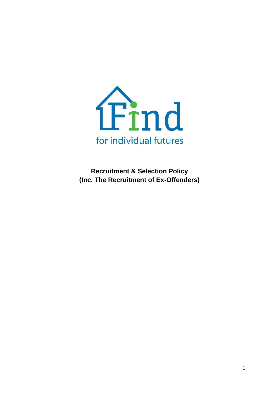

**Recruitment & Selection Policy (Inc. The Recruitment of Ex-Offenders)**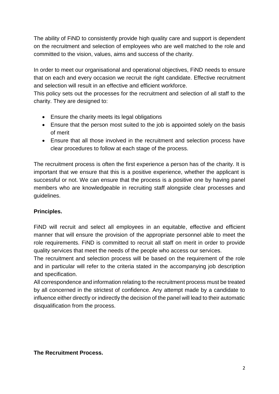The ability of FiND to consistently provide high quality care and support is dependent on the recruitment and selection of employees who are well matched to the role and committed to the vision, values, aims and success of the charity.

In order to meet our organisational and operational objectives, FiND needs to ensure that on each and every occasion we recruit the right candidate. Effective recruitment and selection will result in an effective and efficient workforce.

This policy sets out the processes for the recruitment and selection of all staff to the charity. They are designed to:

- Ensure the charity meets its legal obligations
- Ensure that the person most suited to the job is appointed solely on the basis of merit
- Ensure that all those involved in the recruitment and selection process have clear procedures to follow at each stage of the process.

The recruitment process is often the first experience a person has of the charity. It is important that we ensure that this is a positive experience, whether the applicant is successful or not. We can ensure that the process is a positive one by having panel members who are knowledgeable in recruiting staff alongside clear processes and guidelines.

# **Principles.**

FiND will recruit and select all employees in an equitable, effective and efficient manner that will ensure the provision of the appropriate personnel able to meet the role requirements. FiND is committed to recruit all staff on merit in order to provide quality services that meet the needs of the people who access our services.

The recruitment and selection process will be based on the requirement of the role and in particular will refer to the criteria stated in the accompanying job description and specification.

All correspondence and information relating to the recruitment process must be treated by all concerned in the strictest of confidence. Any attempt made by a candidate to influence either directly or indirectly the decision of the panel will lead to their automatic disqualification from the process.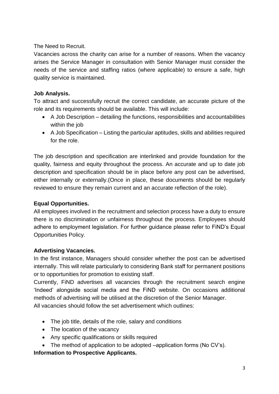The Need to Recruit.

Vacancies across the charity can arise for a number of reasons. When the vacancy arises the Service Manager in consultation with Senior Manager must consider the needs of the service and staffing ratios (where applicable) to ensure a safe, high quality service is maintained.

### **Job Analysis.**

To attract and successfully recruit the correct candidate, an accurate picture of the role and its requirements should be available. This will include:

- A Job Description detailing the functions, responsibilities and accountabilities within the job
- A Job Specification Listing the particular aptitudes, skills and abilities required for the role.

The job description and specification are interlinked and provide foundation for the quality, fairness and equity throughout the process. An accurate and up to date job description and specification should be in place before any post can be advertised, either internally or externally.(Once in place, these documents should be regularly reviewed to ensure they remain current and an accurate reflection of the role).

#### **Equal Opportunities.**

All employees involved in the recruitment and selection process have a duty to ensure there is no discrimination or unfairness throughout the process. Employees should adhere to employment legislation. For further guidance please refer to FiND's Equal Opportunities Policy.

#### **Advertising Vacancies.**

In the first instance, Managers should consider whether the post can be advertised internally. This will relate particularly to considering Bank staff for permanent positions or to opportunities for promotion to existing staff.

Currently, FiND advertises all vacancies through the recruitment search engine 'Indeed' alongside social media and the FiND website. On occasions additional methods of advertising will be utilised at the discretion of the Senior Manager. All vacancies should follow the set advertisement which outlines:

- The job title, details of the role, salary and conditions
- The location of the vacancy
- Any specific qualifications or skills required
- The method of application to be adopted –application forms (No CV's).

#### **Information to Prospective Applicants.**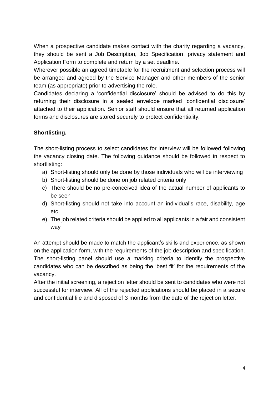When a prospective candidate makes contact with the charity regarding a vacancy, they should be sent a Job Description, Job Specification, privacy statement and Application Form to complete and return by a set deadline.

Wherever possible an agreed timetable for the recruitment and selection process will be arranged and agreed by the Service Manager and other members of the senior team (as appropriate) prior to advertising the role.

Candidates declaring a 'confidential disclosure' should be advised to do this by returning their disclosure in a sealed envelope marked 'confidential disclosure' attached to their application. Senior staff should ensure that all returned application forms and disclosures are stored securely to protect confidentiality.

# **Shortlisting.**

The short-listing process to select candidates for interview will be followed following the vacancy closing date. The following guidance should be followed in respect to shortlisting:

- a) Short-listing should only be done by those individuals who will be interviewing
- b) Short-listing should be done on job related criteria only
- c) There should be no pre-conceived idea of the actual number of applicants to be seen
- d) Short-listing should not take into account an individual's race, disability, age etc.
- e) The job related criteria should be applied to all applicants in a fair and consistent way

An attempt should be made to match the applicant's skills and experience, as shown on the application form, with the requirements of the job description and specification. The short-listing panel should use a marking criteria to identify the prospective candidates who can be described as being the 'best fit' for the requirements of the vacancy.

After the initial screening, a rejection letter should be sent to candidates who were not successful for interview. All of the rejected applications should be placed in a secure and confidential file and disposed of 3 months from the date of the rejection letter.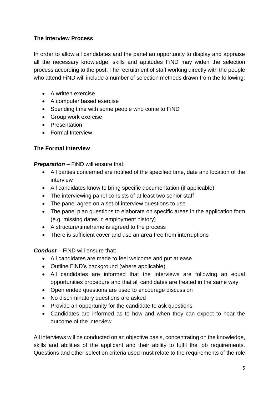# **The Interview Process**

In order to allow all candidates and the panel an opportunity to display and appraise all the necessary knowledge, skills and aptitudes FiND may widen the selection process according to the post. The recruitment of staff working directly with the people who attend FiND will include a number of selection methods drawn from the following:

- A written exercise
- A computer based exercise
- Spending time with some people who come to FiND
- Group work exercise
- Presentation
- Formal Interview

#### **The Formal Interview**

*Preparation* – FiND will ensure that:

- All parties concerned are notified of the specified time, date and location of the interview
- All candidates know to bring specific documentation (if applicable)
- The interviewing panel consists of at least two senior staff
- The panel agree on a set of interview questions to use
- The panel plan questions to elaborate on specific areas in the application form (e.g. missing dates in employment history)
- A structure/timeframe is agreed to the process
- There is sufficient cover and use an area free from interruptions

*Conduct* – FiND will ensure that:

- All candidates are made to feel welcome and put at ease
- Outline FiND's background (where applicable)
- All candidates are informed that the interviews are following an equal opportunities procedure and that all candidates are treated in the same way
- Open ended questions are used to encourage discussion
- No discriminatory questions are asked
- Provide an opportunity for the candidate to ask questions
- Candidates are informed as to how and when they can expect to hear the outcome of the interview

All interviews will be conducted on an objective basis, concentrating on the knowledge, skills and abilities of the applicant and their ability to fulfil the job requirements. Questions and other selection criteria used must relate to the requirements of the role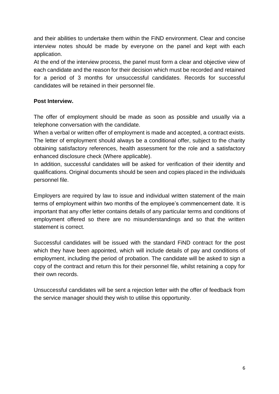and their abilities to undertake them within the FiND environment. Clear and concise interview notes should be made by everyone on the panel and kept with each application.

At the end of the interview process, the panel must form a clear and objective view of each candidate and the reason for their decision which must be recorded and retained for a period of 3 months for unsuccessful candidates. Records for successful candidates will be retained in their personnel file.

### **Post Interview.**

The offer of employment should be made as soon as possible and usually via a telephone conversation with the candidate.

When a verbal or written offer of employment is made and accepted, a contract exists. The letter of employment should always be a conditional offer, subject to the charity obtaining satisfactory references, health assessment for the role and a satisfactory enhanced disclosure check (Where applicable).

In addition, successful candidates will be asked for verification of their identity and qualifications. Original documents should be seen and copies placed in the individuals personnel file.

Employers are required by law to issue and individual written statement of the main terms of employment within two months of the employee's commencement date. It is important that any offer letter contains details of any particular terms and conditions of employment offered so there are no misunderstandings and so that the written statement is correct.

Successful candidates will be issued with the standard FiND contract for the post which they have been appointed, which will include details of pay and conditions of employment, including the period of probation. The candidate will be asked to sign a copy of the contract and return this for their personnel file, whilst retaining a copy for their own records.

Unsuccessful candidates will be sent a rejection letter with the offer of feedback from the service manager should they wish to utilise this opportunity.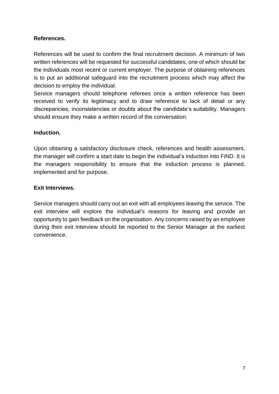# **References.**

References will be used to confirm the final recruitment decision. A minimum of two written references will be requested for successful candidates, one of which should be the individuals most recent or current employer. The purpose of obtaining references is to put an additional safeguard into the recruitment process which may affect the decision to employ the individual.

Service managers should telephone referees once a written reference has been received to verify its legitimacy and to draw reference to lack of detail or any discrepancies, inconsistencies or doubts about the candidate's suitability. Managers should ensure they make a written record of the conversation.

#### **Induction.**

Upon obtaining a satisfactory disclosure check, references and health assessment, the manager will confirm a start date to begin the individual's induction into FiND. It is the managers responsibility to ensure that the induction process is planned, implemented and for purpose.

### **Exit Interviews.**

Service managers should carry out an exit with all employees leaving the service. The exit interview will explore the individual's reasons for leaving and provide an opportunity to gain feedback on the organisation. Any concerns raised by an employee during their exit interview should be reported to the Senior Manager at the earliest convenience.